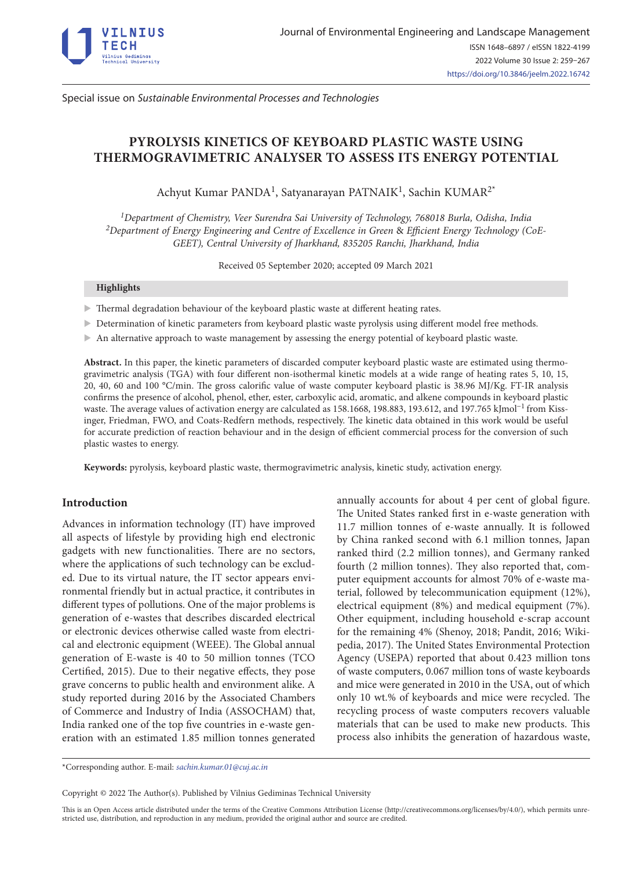

Special issue on *Sustainable Environmental Processes and Technologies*

# **PYROLYSIS KINETICS OF KEYBOARD PLASTIC WASTE USING THERMOGRAVIMETRIC ANALYSER TO ASSESS ITS ENERGY POTENTIAL**

Achyut Kumar PANDA<sup>1</sup>, Satyanarayan PATNAIK<sup>1</sup>, Sachin KUMAR<sup>2\*</sup>

*1Department of Chemistry, Veer Surendra Sai University of Technology, 768018 Burla, Odisha, India 2Department of Energy Engineering and Centre of Excellence in Green* & *Efficient Energy Technology (CoE-GEET), Central University of Jharkhand, 835205 Ranchi, Jharkhand, India*

Received 05 September 2020; accepted 09 March 2021

### **Highlights**

- Thermal degradation behaviour of the keyboard plastic waste at different heating rates.
- > Determination of kinetic parameters from keyboard plastic waste pyrolysis using different model free methods.
- $\triangleright$  An alternative approach to waste management by assessing the energy potential of keyboard plastic waste.

**Abstract.** In this paper, the kinetic parameters of discarded computer keyboard plastic waste are estimated using thermogravimetric analysis (TGA) with four different non-isothermal kinetic models at a wide range of heating rates 5, 10, 15, 20, 40, 60 and 100 °C/min. The gross calorific value of waste computer keyboard plastic is 38.96 MJ/Kg. FT-IR analysis confirms the presence of alcohol, phenol, ether, ester, carboxylic acid, aromatic, and alkene compounds in keyboard plastic waste. The average values of activation energy are calculated as 158.1668, 198.883, 193.612, and 197.765 kJmol<sup>-1</sup> from Kissinger, Friedman, FWO, and Coats-Redfern methods, respectively. The kinetic data obtained in this work would be useful for accurate prediction of reaction behaviour and in the design of efficient commercial process for the conversion of such plastic wastes to energy.

**Keywords:** pyrolysis, keyboard plastic waste, thermogravimetric analysis, kinetic study, activation energy.

# **Introduction**

Advances in information technology (IT) have improved all aspects of lifestyle by providing high end electronic gadgets with new functionalities. There are no sectors, where the applications of such technology can be excluded. Due to its virtual nature, the IT sector appears environmental friendly but in actual practice, it contributes in different types of pollutions. One of the major problems is generation of e-wastes that describes discarded electrical or electronic devices otherwise called waste from electrical and electronic equipment (WEEE). The Global annual generation of E-waste is 40 to 50 million tonnes (TCO Certified, 2015). Due to their negative effects, they pose grave concerns to public health and environment alike. A study reported during 2016 by the Associated Chambers of Commerce and Industry of India (ASSOCHAM) that, India ranked one of the top five countries in e-waste generation with an estimated 1.85 million tonnes generated annually accounts for about 4 per cent of global figure. The United States ranked first in e-waste generation with 11.7 million tonnes of e-waste annually. It is followed by China ranked second with 6.1 million tonnes, Japan ranked third (2.2 million tonnes), and Germany ranked fourth (2 million tonnes). They also reported that, computer equipment accounts for almost 70% of e-waste material, followed by telecommunication equipment (12%), electrical equipment (8%) and medical equipment (7%). Other equipment, including household e-scrap account for the remaining 4% (Shenoy, 2018; Pandit, 2016; Wikipedia, 2017). The United States Environmental Protection Agency (USEPA) reported that about 0.423 million tons of waste computers, 0.067 million tons of waste keyboards and mice were generated in 2010 in the USA, out of which only 10 wt.% of keyboards and mice were recycled. The recycling process of waste computers recovers valuable materials that can be used to make new products. This process also inhibits the generation of hazardous waste,

\*Corresponding author. E-mail: *[sachin.kumar.01@cuj.ac.in](mailto:sachin.kumar.01@cuj.ac.in)*

Copyright © 2022 The Author(s). Published by Vilnius Gediminas Technical University

This is an Open Access article distributed under the terms of the Creative Commons Attribution License (<http://creativecommons.org/licenses/by/4.0/>), which permits unrestricted use, distribution, and reproduction in any medium, provided the original author and source are credited.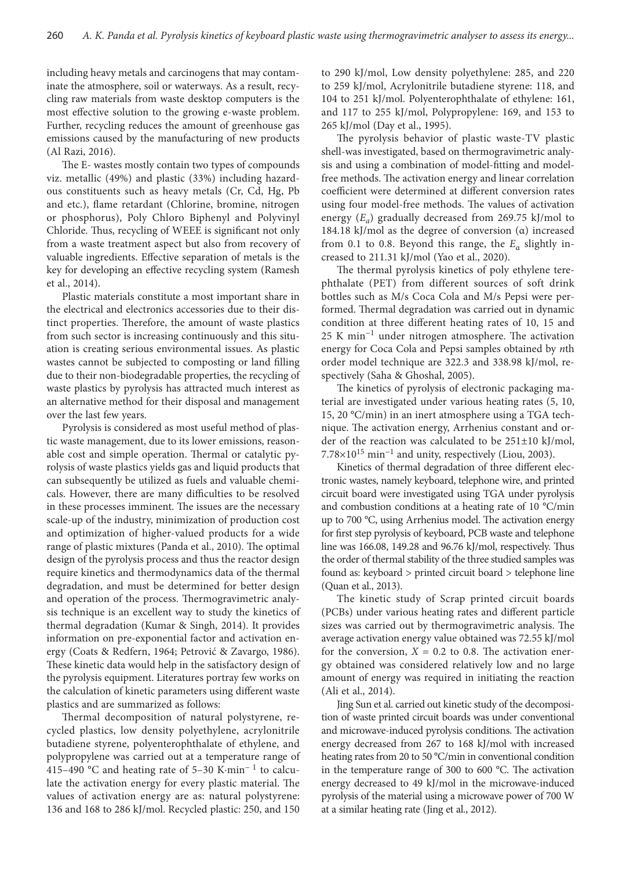including heavy metals and carcinogens that may contaminate the atmosphere, soil or waterways. As a result, recycling raw materials from waste desktop computers is the most effective solution to the growing e-waste problem. Further, recycling reduces the amount of greenhouse gas emissions caused by the manufacturing of new products (Al Razi, 2016).

The E- wastes mostly contain two types of compounds viz. metallic (49%) and plastic (33%) including hazardous constituents such as heavy metals (Cr, Cd, Hg, Pb and etc.), flame retardant (Chlorine, bromine, nitrogen or phosphorus), Poly Chloro Biphenyl and Polyvinyl Chloride. Thus, recycling of WEEE is significant not only from a waste treatment aspect but also from recovery of valuable ingredients. Effective separation of metals is the key for developing an effective recycling system (Ramesh et al., 2014).

Plastic materials constitute a most important share in the electrical and electronics accessories due to their distinct properties. Therefore, the amount of waste plastics from such sector is increasing continuously and this situation is creating serious environmental issues. As plastic wastes cannot be subjected to composting or land filling due to their non-biodegradable properties, the recycling of waste plastics by pyrolysis has attracted much interest as an alternative method for their disposal and management over the last few years.

Pyrolysis is considered as most useful method of plastic waste management, due to its lower emissions, reasonable cost and simple operation. Thermal or catalytic pyrolysis of waste plastics yields gas and liquid products that can subsequently be utilized as fuels and valuable chemicals. However, there are many difficulties to be resolved in these processes imminent. The issues are the necessary scale-up of the industry, minimization of production cost and optimization of higher-valued products for a wide range of plastic mixtures (Panda et al., 2010). The optimal design of the pyrolysis process and thus the reactor design require kinetics and thermodynamics data of the thermal degradation, and must be determined for better design and operation of the process. Thermogravimetric analysis technique is an excellent way to study the kinetics of thermal degradation (Kumar & Singh, 2014). It provides information on pre-exponential factor and activation energy (Coats & Redfern, 1964; Petrović & Zavargo, 1986). These kinetic data would help in the satisfactory design of the pyrolysis equipment. Literatures portray few works on the calculation of kinetic parameters using different waste plastics and are summarized as follows:

Thermal decomposition of natural polystyrene, recycled plastics, low density polyethylene, acrylonitrile butadiene styrene, polyenterophthalate of ethylene, and polypropylene was carried out at a temperature range of 415–490 °C and heating rate of 5–30 K·min− 1 to calculate the activation energy for every plastic material. The values of activation energy are as: natural polystyrene: 136 and 168 to 286 kJ/mol. Recycled plastic: 250, and 150

to 290 kJ/mol, Low density polyethylene: 285, and 220 to 259 kJ/mol, Acrylonitrile butadiene styrene: 118, and 104 to 251 kJ/mol. Polyenterophthalate of ethylene: 161, and 117 to 255 kJ/mol, Polypropylene: 169, and 153 to 265 kJ/mol (Day et al., 1995).

The pyrolysis behavior of plastic waste-TV plastic shell-was investigated, based on thermogravimetric analysis and using a combination of model-fitting and modelfree methods. The activation energy and linear correlation coefficient were determined at different conversion rates using four model-free methods. The values of activation energy (*Ea*) gradually decreased from 269.75 kJ/mol to 184.18 kJ/mol as the degree of conversion (α) increased from 0.1 to 0.8. Beyond this range, the  $E_\alpha$  slightly increased to 211.31 kJ/mol (Yao et al., 2020).

The thermal pyrolysis kinetics of poly ethylene terephthalate (PET) from different sources of soft drink bottles such as M/s Coca Cola and M/s Pepsi were performed. Thermal degradation was carried out in dynamic condition at three different heating rates of 10, 15 and 25 K min<sup>-1</sup> under nitrogen atmosphere. The activation energy for Coca Cola and Pepsi samples obtained by *n*th order model technique are 322.3 and 338.98 kJ/mol, respectively (Saha & Ghoshal, 2005).

The kinetics of pyrolysis of electronic packaging material are investigated under various heating rates (5, 10, 15, 20 °C/min) in an inert atmosphere using a TGA technique. The activation energy, Arrhenius constant and order of the reaction was calculated to be 251±10 kJ/mol,  $7.78\times10^{15}$  min<sup>-1</sup> and unity, respectively (Liou, 2003).

Kinetics of thermal degradation of three different electronic wastes, namely keyboard, telephone wire, and printed circuit board were investigated using TGA under pyrolysis and combustion conditions at a heating rate of 10 °C/min up to 700 °C, using Arrhenius model. The activation energy for first step pyrolysis of keyboard, PCB waste and telephone line was 166.08, 149.28 and 96.76 kJ/mol, respectively. Thus the order of thermal stability of the three studied samples was found as: keyboard > printed circuit board > telephone line (Quan et al., 2013).

The kinetic study of Scrap printed circuit boards (PCBs) under various heating rates and different particle sizes was carried out by thermogravimetric analysis. The average activation energy value obtained was 72.55 kJ/mol for the conversion,  $X = 0.2$  to 0.8. The activation energy obtained was considered relatively low and no large amount of energy was required in initiating the reaction (Ali et al., 2014).

Jing Sun et al. carried out kinetic study of the decomposition of waste printed circuit boards was under conventional and microwave-induced pyrolysis conditions. The activation energy decreased from 267 to 168 kJ/mol with increased heating rates from 20 to 50 °C/min in conventional condition in the temperature range of 300 to 600 °C. The activation energy decreased to 49 kJ/mol in the microwave-induced pyrolysis of the material using a microwave power of 700 W at a similar heating rate (Jing et al., 2012).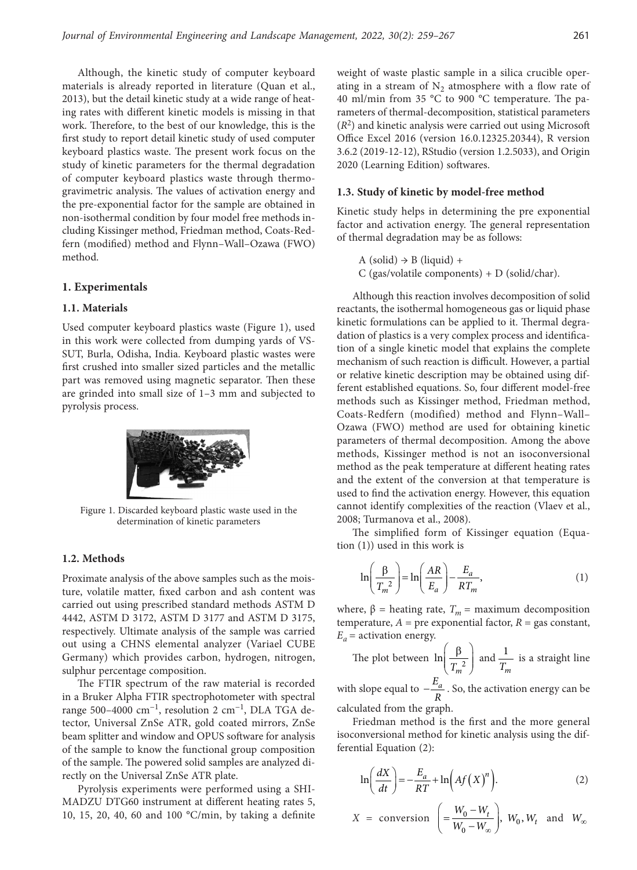Although, the kinetic study of computer keyboard materials is already reported in literature (Quan et al., 2013), but the detail kinetic study at a wide range of heating rates with different kinetic models is missing in that work. Therefore, to the best of our knowledge, this is the first study to report detail kinetic study of used computer keyboard plastics waste. The present work focus on the study of kinetic parameters for the thermal degradation of computer keyboard plastics waste through thermogravimetric analysis. The values of activation energy and the pre-exponential factor for the sample are obtained in non-isothermal condition by four model free methods including Kissinger method, Friedman method, Coats-Redfern (modified) method and Flynn–Wall–Ozawa (FWO) method.

#### **1. Experimentals**

## **1.1. Materials**

Used computer keyboard plastics waste (Figure 1), used in this work were collected from dumping yards of VS-SUT, Burla, Odisha, India. Keyboard plastic wastes were first crushed into smaller sized particles and the metallic part was removed using magnetic separator. Then these are grinded into small size of 1–3 mm and subjected to pyrolysis process.



Figure 1. Discarded keyboard plastic waste used in the determination of kinetic parameters

## **1.2. Methods**

Proximate analysis of the above samples such as the moisture, volatile matter, fixed carbon and ash content was carried out using prescribed standard methods ASTM D 4442, ASTM D 3172, ASTM D 3177 and ASTM D 3175, respectively. Ultimate analysis of the sample was carried out using a CHNS elemental analyzer (Variael CUBE Germany) which provides carbon, hydrogen, nitrogen, sulphur percentage composition.

The FTIR spectrum of the raw material is recorded in a Bruker Alpha FTIR spectrophotometer with spectral range 500–4000 cm<sup>-1</sup>, resolution 2 cm<sup>-1</sup>, DLA TGA detector, Universal ZnSe ATR, gold coated mirrors, ZnSe beam splitter and window and OPUS software for analysis of the sample to know the functional group composition of the sample. The powered solid samples are analyzed directly on the Universal ZnSe ATR plate.

Pyrolysis experiments were performed using a SHI-MADZU DTG60 instrument at different heating rates 5, 10, 15, 20, 40, 60 and 100 °C/min, by taking a definite weight of waste plastic sample in a silica crucible operating in a stream of  $N<sub>2</sub>$  atmosphere with a flow rate of 40 ml/min from 35 °C to 900 °C temperature. The parameters of thermal-decomposition, statistical parameters (*R*2) and kinetic analysis were carried out using Microsoft Office Excel 2016 (version 16.0.12325.20344), R version 3.6.2 (2019-12-12), RStudio (version 1.2.5033), and Origin 2020 (Learning Edition) softwares.

### **1.3. Study of kinetic by model-free method**

Kinetic study helps in determining the pre exponential factor and activation energy. The general representation of thermal degradation may be as follows:

```
A (solid) \rightarrow B (liquid) +
```
C (gas/volatile components) + D (solid/char).

Although this reaction involves decomposition of solid reactants, the isothermal homogeneous gas or liquid phase kinetic formulations can be applied to it. Thermal degradation of plastics is a very complex process and identification of a single kinetic model that explains the complete mechanism of such reaction is difficult. However, a partial or relative kinetic description may be obtained using different established equations. So, four different model-free methods such as Kissinger method, Friedman method, Coats-Redfern (modified) method and Flynn–Wall– Ozawa (FWO) method are used for obtaining kinetic parameters of thermal decomposition. Among the above methods, Kissinger method is not an isoconversional method as the peak temperature at different heating rates and the extent of the conversion at that temperature is used to find the activation energy. However, this equation cannot identify complexities of the reaction (Vlaev et al., 2008; Turmanova et al., 2008).

The simplified form of Kissinger equation (Equation (1)) used in this work is

$$
\ln\left(\frac{\beta}{T_m^2}\right) = \ln\left(\frac{AR}{E_a}\right) - \frac{E_a}{RT_m},\tag{1}
$$

where,  $\beta$  = heating rate,  $T_m$  = maximum decomposition temperature,  $A =$  pre exponential factor,  $R =$  gas constant,  $E_a$  = activation energy.

The plot between  $\ln \left( \frac{P}{T^2} \right)$  $\left(\frac{\beta}{T_m^2}\right)$  and  $\frac{1}{T_n}$  $\frac{1}{T_m}$  is a straight line

with slope equal to  $-\frac{E_a}{R}$ . So, the activation energy can be calculated from the graph.

Friedman method is the first and the more general isoconversional method for kinetic analysis using the differential Equation (2):

$$
\ln\left(\frac{dX}{dt}\right) = -\frac{E_a}{RT} + \ln\left(Af\left(X\right)^n\right). \tag{2}
$$

$$
X = \text{conversion } \left( = \frac{W_0 - W_t}{W_0 - W_\infty} \right), W_0, W_t \text{ and } W_\infty
$$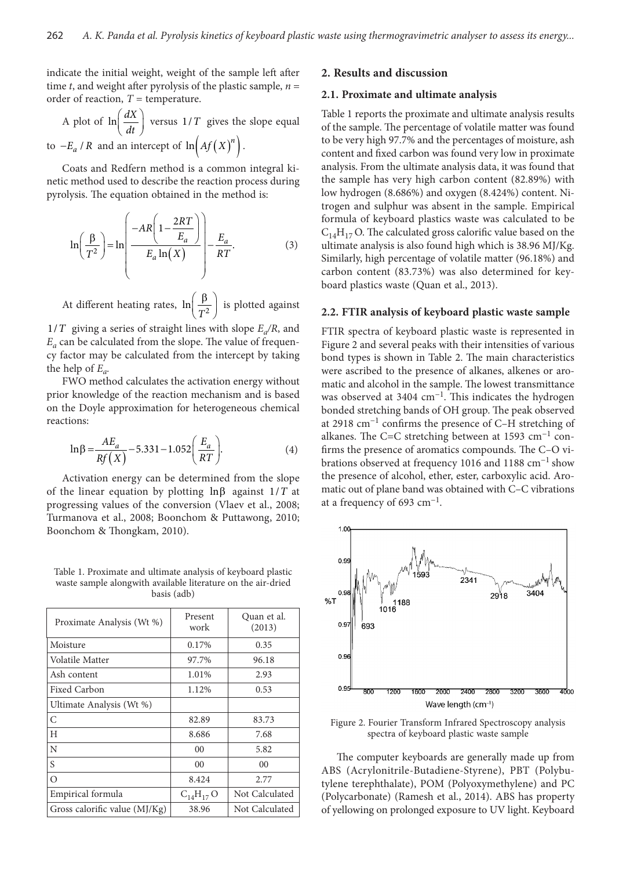indicate the initial weight, weight of the sample left after time *t*, and weight after pyrolysis of the plastic sample,  $n =$ order of reaction,  $T =$  temperature.

A plot of  $\ln \left( \frac{dX}{dt} \right)$  versus  $1/T$  gives the slope equal to  $-E_a$  / *R* and an intercept of  $ln(Af(X)^n)$ .

Coats and Redfern method is a common integral kinetic method used to describe the reaction process during pyrolysis. The equation obtained in the method is:

$$
\ln\left(\frac{\beta}{T^2}\right) = \ln\left(\frac{-AR\left(1-\frac{2RT}{E_a}\right)}{E_a\ln(X)}\right) - \frac{E_a}{RT}.\tag{3}
$$

At different heating rates,  $\ln\left(\frac{P}{T^2}\right)$ *T*  $\left(\frac{\beta}{T^2}\right)$  is plotted against

 $1/T$  giving a series of straight lines with slope  $E_a/R$ , and  $E_a$  can be calculated from the slope. The value of frequency factor may be calculated from the intercept by taking the help of  $E_a$ .

FWO method calculates the activation energy without prior knowledge of the reaction mechanism and is based on the Doyle approximation for heterogeneous chemical reactions:

$$
\ln \beta = \frac{AE_a}{Rf(X)} - 5.331 - 1.052 \left(\frac{E_a}{RT}\right).
$$
 (4)

Activation energy can be determined from the slope of the linear equation by plotting  $\ln \beta$  against  $1/T$  at progressing values of the conversion (Vlaev et al., 2008; Turmanova et al., 2008; Boonchom & Puttawong, 2010; Boonchom & Thongkam, 2010).

Table 1. Proximate and ultimate analysis of keyboard plastic waste sample alongwith available literature on the air-dried basis (adb)

| Proximate Analysis (Wt %)       | Present<br>work | Quan et al.<br>(2013) |  |
|---------------------------------|-----------------|-----------------------|--|
| Moisture                        | 0.17%           | 0.35                  |  |
| Volatile Matter                 | 97.7%           | 96.18                 |  |
| Ash content                     | 1.01%           | 2.93                  |  |
| Fixed Carbon                    | 1.12%           | 0.53                  |  |
| Ultimate Analysis (Wt %)        |                 |                       |  |
| C                               | 82.89           | 83.73                 |  |
| H                               | 8.686           | 7.68                  |  |
| N                               | 0 <sub>0</sub>  | 5.82                  |  |
| S                               | 00              | 00                    |  |
| $\Omega$                        | 8.424           | 2.77                  |  |
| Empirical formula               | $C_{14}H_{17}O$ | Not Calculated        |  |
| Gross calorific value $(MJ/Kg)$ | 38.96           | Not Calculated        |  |

## **2. Results and discussion**

#### **2.1. Proximate and ultimate analysis**

Table 1 reports the proximate and ultimate analysis results of the sample. The percentage of volatile matter was found to be very high 97.7% and the percentages of moisture, ash content and fixed carbon was found very low in proximate analysis. From the ultimate analysis data, it was found that the sample has very high carbon content (82.89%) with low hydrogen (8.686%) and oxygen (8.424%) content. Nitrogen and sulphur was absent in the sample. Empirical formula of keyboard plastics waste was calculated to be  $C_{14}H_{17}$  O. The calculated gross calorific value based on the ultimate analysis is also found high which is 38.96 MJ/Kg. Similarly, high percentage of volatile matter (96.18%) and carbon content (83.73%) was also determined for keyboard plastics waste (Quan et al., 2013).

#### **2.2. FTIR analysis of keyboard plastic waste sample**

FTIR spectra of keyboard plastic waste is represented in Figure 2 and several peaks with their intensities of various bond types is shown in Table 2. The main characteristics were ascribed to the presence of alkanes, alkenes or aromatic and alcohol in the sample. The lowest transmittance was observed at 3404  $cm^{-1}$ . This indicates the hydrogen bonded stretching bands of OH group. The peak observed at 2918 cm−1 confirms the presence of C–H stretching of alkanes. The C=C stretching between at 1593 cm−1 confirms the presence of aromatics compounds. The C–O vibrations observed at frequency 1016 and 1188 cm−1 show the presence of alcohol, ether, ester, carboxylic acid. Aromatic out of plane band was obtained with C–C vibrations at a frequency of 693 cm<sup>-1</sup>.



Figure 2. Fourier Transform Infrared Spectroscopy analysis spectra of keyboard plastic waste sample

The computer keyboards are generally made up from ABS (Acrylonitrile-Butadiene-Styrene), PBT (Polybutylene terephthalate), POM (Polyoxymethylene) and PC (Polycarbonate) (Ramesh et al., 2014). ABS has property of yellowing on prolonged exposure to UV light. Keyboard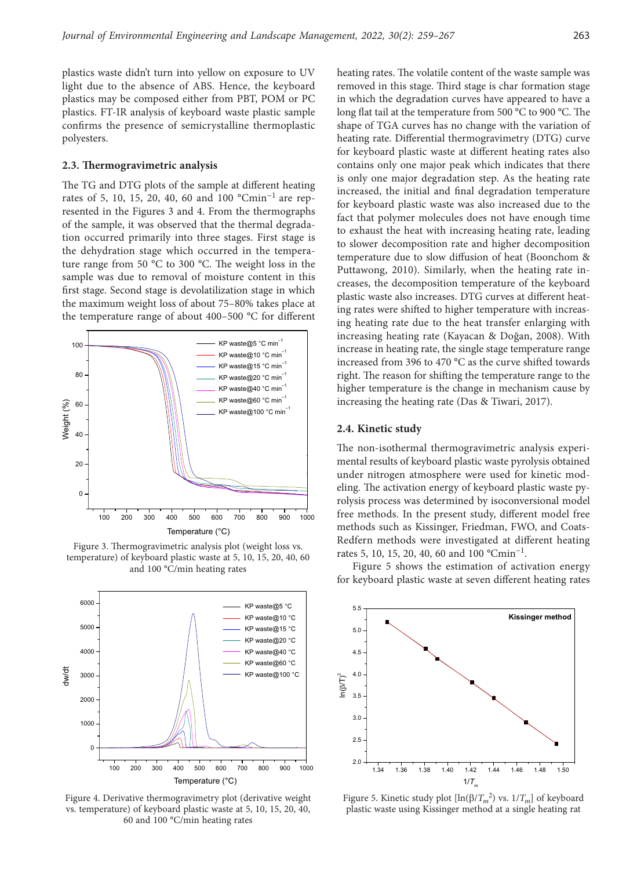plastics waste didn't turn into yellow on exposure to UV light due to the absence of ABS. Hence, the keyboard plastics may be composed either from PBT, POM or PC plastics. FT-IR analysis of keyboard waste plastic sample confirms the presence of semicrystalline thermoplastic polyesters.

#### **2.3. Thermogravimetric analysis**

The TG and DTG plots of the sample at different heating rates of 5, 10, 15, 20, 40, 60 and 100 °Cmin−1 are represented in the Figures 3 and 4. From the thermographs of the sample, it was observed that the thermal degradation occurred primarily into three stages. First stage is the dehydration stage which occurred in the temperature range from 50 °C to 300 °C. The weight loss in the sample was due to removal of moisture content in this first stage. Second stage is devolatilization stage in which the maximum weight loss of about 75–80% takes place at the temperature range of about 400–500 °C for different



Figure 3. Thermogravimetric analysis plot (weight loss vs. temperature) of keyboard plastic waste at 5, 10, 15, 20, 40, 60 and 100 °C/min heating rates



Figure 4. Derivative thermogravimetry plot (derivative weight vs. temperature) of keyboard plastic waste at 5, 10, 15, 20, 40, 60 and 100 °C/min heating rates

heating rates. The volatile content of the waste sample was removed in this stage. Third stage is char formation stage in which the degradation curves have appeared to have a long flat tail at the temperature from 500 °C to 900 °C. The shape of TGA curves has no change with the variation of heating rate. Differential thermogravimetry (DTG) curve for keyboard plastic waste at different heating rates also contains only one major peak which indicates that there is only one major degradation step. As the heating rate increased, the initial and final degradation temperature for keyboard plastic waste was also increased due to the fact that polymer molecules does not have enough time to exhaust the heat with increasing heating rate, leading to slower decomposition rate and higher decomposition temperature due to slow diffusion of heat (Boonchom & Puttawong, 2010). Similarly, when the heating rate increases, the decomposition temperature of the keyboard plastic waste also increases. DTG curves at different heating rates were shifted to higher temperature with increasing heating rate due to the heat transfer enlarging with increasing heating rate (Kayacan & Doğan, 2008). With increase in heating rate, the single stage temperature range increased from 396 to 470 °C as the curve shifted towards right. The reason for shifting the temperature range to the higher temperature is the change in mechanism cause by increasing the heating rate (Das & Tiwari, 2017).

#### **2.4. Kinetic study**

The non-isothermal thermogravimetric analysis experimental results of keyboard plastic waste pyrolysis obtained under nitrogen atmosphere were used for kinetic modeling. The activation energy of keyboard plastic waste pyrolysis process was determined by isoconversional model free methods. In the present study, different model free methods such as Kissinger, Friedman, FWO, and Coats-Redfern methods were investigated at different heating rates 5, 10, 15, 20, 40, 60 and 100 °Cmin<sup>-1</sup>.

Figure 5 shows the estimation of activation energy for keyboard plastic waste at seven different heating rates



Figure 5. Kinetic study plot  $[\ln(\beta/T_m^2)]$  vs.  $1/T_m]$  of keyboard plastic waste using Kissinger method at a single heating rat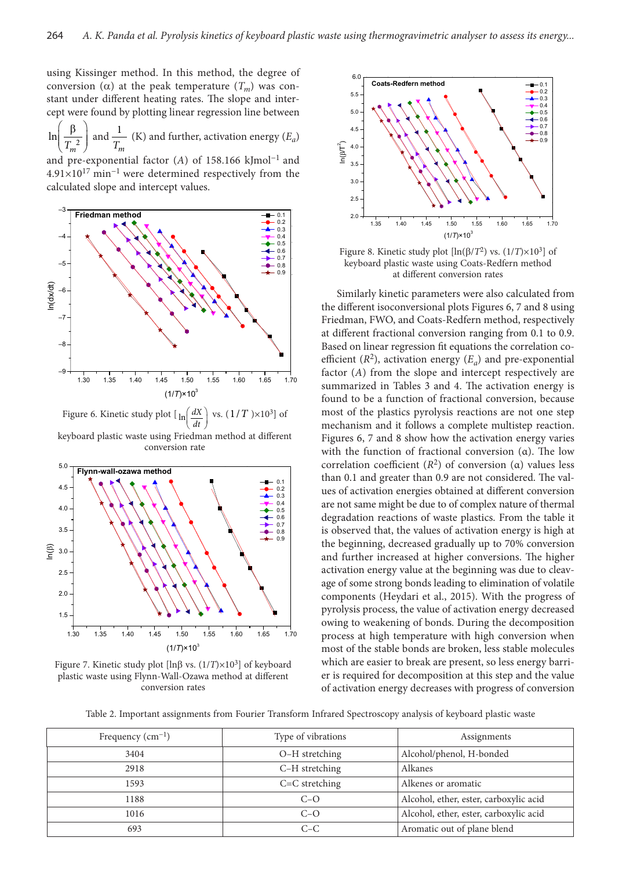using Kissinger method. In this method, the degree of conversion (α) at the peak temperature  $(T_m)$  was constant under different heating rates. The slope and intercept were found by plotting linear regression line between

 $\left(\frac{\beta}{T_m^2}\right)$  and  $\frac{1}{T_n}$ ln  $\frac{1}{T_m}$  (K) and further, activation energy (*E<sub>a</sub>*)

and pre-exponential factor (*A*) of 158.166 kJmol−1 and 4.91×1017 min−1 were determined respectively from the calculated slope and intercept values.



Figure 6. Kinetic study plot  $\left[ \ln \left( \frac{dX}{dt} \right) \right]$ *dt* vs.  $(1/T) \times 10^3$  of keyboard plastic waste using Friedman method at different conversion rate



Figure 7. Kinetic study plot [ $\ln\beta$  vs. ( $1/T$ )× $10^3$ ] of keyboard plastic waste using Flynn-Wall-Ozawa method at different conversion rates



Figure 8. Kinetic study plot  $[\ln(\beta/T^2)$  vs.  $(1/T)\times10^3]$  of keyboard plastic waste using Coats-Redfern method at different conversion rates

Similarly kinetic parameters were also calculated from the different isoconversional plots Figures 6, 7 and 8 using Friedman, FWO, and Coats-Redfern method, respectively at different fractional conversion ranging from 0.1 to 0.9. Based on linear regression fit equations the correlation coefficient  $(R^2)$ , activation energy  $(E_a)$  and pre-exponential factor (*A*) from the slope and intercept respectively are summarized in Tables 3 and 4. The activation energy is found to be a function of fractional conversion, because most of the plastics pyrolysis reactions are not one step mechanism and it follows a complete multistep reaction. Figures 6, 7 and 8 show how the activation energy varies with the function of fractional conversion  $(a)$ . The low correlation coefficient (*R*2) of conversion (α) values less than 0.1 and greater than 0.9 are not considered. The values of activation energies obtained at different conversion are not same might be due to of complex nature of thermal degradation reactions of waste plastics. From the table it is observed that, the values of activation energy is high at the beginning, decreased gradually up to 70% conversion and further increased at higher conversions. The higher activation energy value at the beginning was due to cleavage of some strong bonds leading to elimination of volatile components (Heydari et al., 2015). With the progress of pyrolysis process, the value of activation energy decreased owing to weakening of bonds. During the decomposition process at high temperature with high conversion when most of the stable bonds are broken, less stable molecules which are easier to break are present, so less energy barrier is required for decomposition at this step and the value of activation energy decreases with progress of conversion

Table 2. Important assignments from Fourier Transform Infrared Spectroscopy analysis of keyboard plastic waste

| Frequency $(cm-1)$ | Type of vibrations | Assignments                            |
|--------------------|--------------------|----------------------------------------|
| 3404               | O-H stretching     | Alcohol/phenol, H-bonded               |
| 2918               | C-H stretching     | Alkanes                                |
| 1593               | $C=C$ stretching   | Alkenes or aromatic                    |
| 1188               | $C-O$              | Alcohol, ether, ester, carboxylic acid |
| 1016               | $C-O$              | Alcohol, ether, ester, carboxylic acid |
| 693                | $C-C$              | Aromatic out of plane blend            |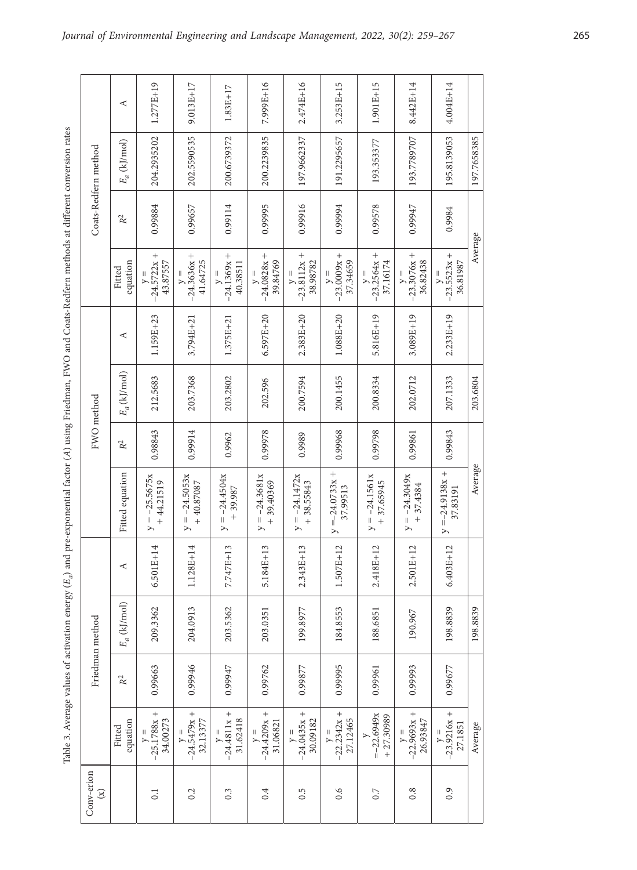Table 3. Average values of activation energy (E<sub>a</sub>) and pre-exponential factor (A) using Friedman, FWO and Coats-Redfern methods at different conversion rates *A*) using Friedman, FWO and Coats-Redfern methods at different conversion rates *Ea*) and pre-exponential factor ( Table 3. Average values of activation energy (

|                            | ⋖                  | $1.277E+19$                        | 9.013E+17                          | $1.83E+17$                                 | 7.999E+16                                        | 2.474E+16                          | $3.253E+15$                                  | 1.901E+15                          | 8.442E+14                                        | 4.004E+14                             |             |
|----------------------------|--------------------|------------------------------------|------------------------------------|--------------------------------------------|--------------------------------------------------|------------------------------------|----------------------------------------------|------------------------------------|--------------------------------------------------|---------------------------------------|-------------|
| Coats-Redfern method       | $E_a$ (kJ/mol)     | 204.2935202                        | 202.5590535                        | 200.6739372                                | 200.2239835                                      | 197.9662337                        | 191.2295657                                  | 193.353377                         | 193.7789707                                      | 195.8139053                           | 197.7658385 |
|                            | $\mathbb{R}^2$     | 0.99884                            | 0.99657                            | 0.99114                                    | 0.99995                                          | 0.99916                            | 0.99994                                      | 0.99578                            | 0.99947                                          | 0.9984                                | Average     |
|                            | equation<br>Fitted | $-24.5722x +$<br>43.87557<br>$V =$ | $-24.3636x +$<br>41.64725          | $-24.1369x +$<br>40.38511<br>$\frac{1}{2}$ | $-24.0828x +$<br>39.84769<br>$\frac{1}{\lambda}$ | $-23.8112x +$<br>38.98782<br>$y =$ | $-23.0009x +$<br>37.34659                    | $-23.2564x +$<br>37.16174<br>$y =$ | $-23.3076x +$<br>36.82438<br>$\frac{1}{\lambda}$ | $-23.5523x +$<br>36.81987<br>$y =$    |             |
|                            | ⋖                  | 1.159E+23                          | 3.794E+21                          | $1.375E+21$                                | $6.597E + 20$                                    | $2.383E + 20$                      | $1.088E + 20$                                | $5.816E+19$                        | $3.089E + 19$                                    | $2.233E+19$                           |             |
|                            | $E_a$ (kJ/mol)     | 212.5683                           | 203.7368                           | 203.2802                                   | 202.596                                          | 200.7594                           | 200.1455                                     | 200.8334                           | 202.0712                                         | 207.1333                              | 203.6804    |
| FWO method                 | $\mathbb{R}^2$     | 0.98843                            | 0.99914                            | 0.9962                                     | 0.99978                                          | 0.9989                             | 0.99968                                      | 0.99798                            | 0.99861                                          | 0.99843                               |             |
|                            | Fitted equation    | $y = -25.5675x$<br>$+44.21519$     | $y = -24.5053x$<br>$+40.87087$     | $y = -24.4504x$<br>$+39.987$               | $y = -24.3681x$<br>$+39.40369$                   | $y = -24.1472x$<br>$+38.55843$     | $^{+}$<br>$=-24.0733x$<br>37.99513<br>$\geq$ | $y = -24.1561x$<br>$+37.65945$     | $y = -24.3049x$<br>$+37.4384$                    | $^{+}$<br>$y = -24.9138x$<br>37.83191 | Average     |
|                            | ⋖                  | $6.501E + 14$                      | 1.128E+14                          | 7.747E+13                                  | 5.184E+13                                        | 2.343E+13                          | 1.507E+12                                    | 8E+12<br>2.41                      | $2.501E+12$                                      | $6.403E+12$                           |             |
| Friedman method            | $E_a$ (kJ/mol)     | 209.3362                           | 204.0913                           | 203.5362                                   | 203.0351                                         | 199.8977                           | 184.8553                                     | 188.6851                           | 190.967                                          | 198.8839                              | 198.8839    |
|                            | $\mathbb{R}^2$     | 0.99663                            | 0.99946                            | 0.99947                                    | 0.99762                                          | 0.99877                            | 0.99995                                      | 0.99961                            | 0.99993                                          | 0.99677                               |             |
|                            | equation<br>Fitted | $y =$<br>-25.1788x +<br>34.00273   | $-24.5479x +$<br>32.13377<br>$y =$ | $-24.4811x +$<br>31.62418                  | $-24.4209x +$<br>31.06821<br>$V =$               | $-24.0435x +$<br>30.09182<br>$y =$ | $-22.2342x +$<br>27.12465<br>$\overline{ }$  | $=-22.6949x$<br>$+27.30989$        | $-22.9693x +$<br>26.93847<br>$y =$               | $-23.9216x +$<br>27.1851<br>$y =$     | Average     |
| Conv-erion<br>$\mathbf{E}$ |                    | $\overline{0}$ .                   | 0.2                                | 0.3                                        | 0.4                                              | 0.5                                | 0.6                                          | 0.7                                | 0.8                                              | 0.9                                   |             |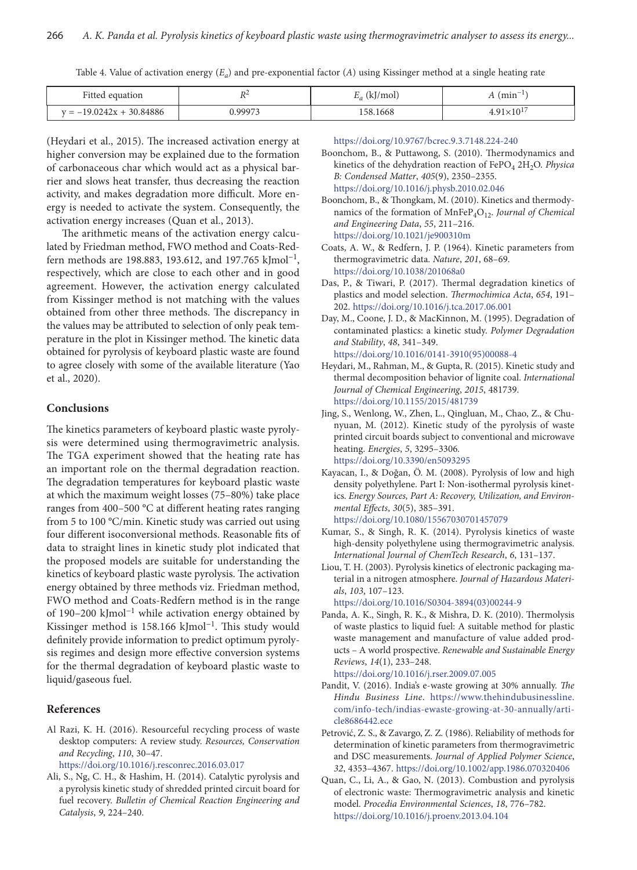Table 4. Value of activation energy  $(E_a)$  and pre-exponential factor  $(A)$  using Kissinger method at a single heating rate

| <sup>L</sup> itted<br>equation<br>0011c | DΖ   | /mol<br>$L_{a}$ (K) | $\overline{\phantom{a}}$<br>, 111111 |  |
|-----------------------------------------|------|---------------------|--------------------------------------|--|
| 30.84886                                | 0007 | 58.1668             | $\overline{10}$                      |  |
| $v = -19.0242y$                         |      | .                   |                                      |  |

(Heydari et al., 2015). The increased activation energy at higher conversion may be explained due to the formation of carbonaceous char which would act as a physical barrier and slows heat transfer, thus decreasing the reaction activity, and makes degradation more difficult. More energy is needed to activate the system. Consequently, the activation energy increases (Quan et al., 2013).

The arithmetic means of the activation energy calculated by Friedman method, FWO method and Coats-Redfern methods are 198.883, 193.612, and 197.765 kJmol<sup>-1</sup>, respectively, which are close to each other and in good agreement. However, the activation energy calculated from Kissinger method is not matching with the values obtained from other three methods. The discrepancy in the values may be attributed to selection of only peak temperature in the plot in Kissinger method. The kinetic data obtained for pyrolysis of keyboard plastic waste are found to agree closely with some of the available literature (Yao et al., 2020).

## **Conclusions**

The kinetics parameters of keyboard plastic waste pyrolysis were determined using thermogravimetric analysis. The TGA experiment showed that the heating rate has an important role on the thermal degradation reaction. The degradation temperatures for keyboard plastic waste at which the maximum weight losses (75–80%) take place ranges from 400–500 °C at different heating rates ranging from 5 to 100 °C/min. Kinetic study was carried out using four different isoconversional methods. Reasonable fits of data to straight lines in kinetic study plot indicated that the proposed models are suitable for understanding the kinetics of keyboard plastic waste pyrolysis. The activation energy obtained by three methods viz. Friedman method, FWO method and Coats-Redfern method is in the range of 190–200 kJmol−1 while activation energy obtained by Kissinger method is 158.166 kJmol−1. This study would definitely provide information to predict optimum pyrolysis regimes and design more effective conversion systems for the thermal degradation of keyboard plastic waste to liquid/gaseous fuel.

## **References**

Al Razi, K. H. (2016). Resourceful recycling process of waste desktop computers: A review study. *Resources, Conservation and Recycling*, *110*, 30–47.

<https://doi.org/10.1016/j.resconrec.2016.03.017>

Ali, S., Ng, C. H., & Hashim, H. (2014). Catalytic pyrolysis and a pyrolysis kinetic study of shredded printed circuit board for fuel recovery. *Bulletin of Chemical Reaction Engineering and Catalysis*, *9*, 224–240.

<https://doi.org/10.9767/bcrec.9.3.7148.224-240>

Boonchom, B., & Puttawong, S. (2010). Thermodynamics and kinetics of the dehydration reaction of FePO<sub>4</sub> 2H<sub>2</sub>O. *Physica B: Condensed Matter*, *405*(9), 2350–2355. <https://doi.org/10.1016/j.physb.2010.02.046>

Boonchom, B., & Thongkam, M. (2010). Kinetics and thermodynamics of the formation of MnFeP<sub>4</sub>O<sub>12</sub>. *Journal of Chemical and Engineering Data*, *55*, 211–216. <https://doi.org/10.1021/je900310m>

- Coats, A. W., & Redfern, J. P. (1964). Kinetic parameters from thermogravimetric data. *Nature*, *201*, 68–69. <https://doi.org/10.1038/201068a0>
- Das, P., & Tiwari, P. (2017). Thermal degradation kinetics of plastics and model selection. *Thermochimica Acta*, *654*, 191– 202. <https://doi.org/10.1016/j.tca.2017.06.001>
- Day, M., [Coone,](http://www.sciencedirect.com/science/article/pii/0141391095000884) J. D., & [MacKinnon](http://www.sciencedirect.com/science/article/pii/0141391095000884), M. (1995). Degradation of contaminated plastics: a kinetic study. *Polymer Degradation and Stability*, *48*, 341–349. [https://doi.org/10.1016/0141-3910\(95\)00088-4](https://doi.org/10.1016/0141-3910(95)00088-4)
- Heydari, M., Rahman, M., & Gupta, R. (2015). Kinetic study and thermal decomposition behavior of lignite coal. *International Journal of Chemical Engineering*, *2015*, 481739. <https://doi.org/10.1155/2015/481739>
- Jing, S., Wenlong, W., Zhen, L., Qingluan, M., Chao, Z., & Chunyuan, M. (2012). Kinetic study of the pyrolysis of waste printed circuit boards subject to conventional and microwave heating. *Energies*, *5*, 3295–3306. <https://doi.org/10.3390/en5093295>
- Kayacan, I., & Doğan, Ö. M. (2008). Pyrolysis of low and high density polyethylene. Part I: Non-isothermal pyrolysis kinetics. *Energy Sources, Part A: Recovery, Utilization, and Environmental Effects*, *30*(5), 385–391.
	- <https://doi.org/10.1080/15567030701457079>
- Kumar, S., & Singh, R. K. (2014). Pyrolysis kinetics of waste high-density polyethylene using thermogravimetric analysis. *International Journal of ChemTech Research*, *6*, 131–137.
- Liou, T. H. (2003). Pyrolysis kinetics of electronic packaging material in a nitrogen atmosphere. *Journal of Hazardous Materials*, *103*, 107–123.

[https://doi.org/10.1016/S0304-3894\(03\)00244-9](https://doi.org/10.1016/S0304-3894(03)00244-9)

Panda, A. K., Singh, R. K., & Mishra, D. K. (2010). Thermolysis of waste plastics to liquid fuel: A suitable method for plastic waste management and manufacture of value added products – A world prospective. *Renewable and Sustainable Energy Reviews*, *14*(1), 233–248.

<https://doi.org/10.1016/j.rser.2009.07.005>

- Pandit, V. (2016). India's e-waste growing at 30% annually. *The Hindu Business Line*. [https://www.thehindubusinessline.](https://www.thehindubusinessline.com/info-tech/indias-ewaste-growing-at-30-annually/article8686442.ece) [com/info-tech/indias-ewaste-growing-at-30-annually/arti](https://www.thehindubusinessline.com/info-tech/indias-ewaste-growing-at-30-annually/article8686442.ece)[cle8686442.ece](https://www.thehindubusinessline.com/info-tech/indias-ewaste-growing-at-30-annually/article8686442.ece)
- Petrović, Z. S., & Zavargo, Z. Z. (1986). Reliability of methods for determination of kinetic parameters from thermogravimetric and DSC measurements. *Journal of Applied Polymer Science*, *32*, 4353–4367. <https://doi.org/10.1002/app.1986.070320406>
- Quan, C., Li, A., & Gao, N. (2013). Combustion and pyrolysis of electronic waste: Thermogravimetric analysis and kinetic model. *Procedia Environmental Sciences*, *18*, 776–782. <https://doi.org/10.1016/j.proenv.2013.04.104>